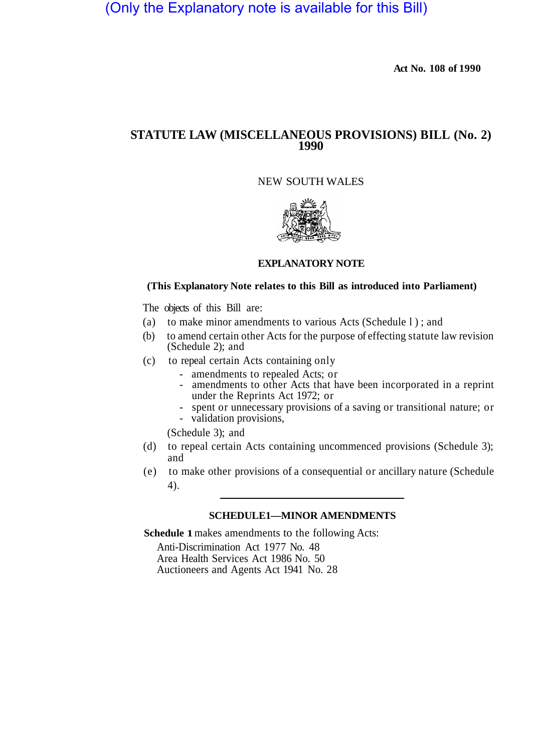# (Only the Explanatory note is available for this Bill)

**Act No. 108 of 1990** 

## **STATUTE LAW (MISCELLANEOUS PROVISIONS) BILL (No. 2) 1990**

## NEW SOUTH WALES



## **EXPLANATORY NOTE**

#### **(This Explanatory Note relates to this Bill as introduced into Parliament)**

The objects of this Bill are:

- (a) to make minor amendments to various Acts (Schedule l); and
- (b) to amend certain other Acts for the purpose of effecting statute law revision (Schedule 2); and
- (c) to repeal certain Acts containing only
	-
	- amendments to repealed Acts; or<br>- amendments to other Acts that have been incorporated in a reprint under the Reprints Act 1972; or
	- spent or unnecessary provisions of a saving or transitional nature; or validation provisions,
	-

(Schedule 3); and

- and (d) to repeal certain Acts containing uncommenced provisions (Schedule 3);
- (e) to make other provisions of a consequential or ancillary nature (Schedule 4).

## **SCHEDULE1—MINOR AMENDMENTS**

**Schedule 1** makes amendments to the following Acts:

Anti-Discrimination Act 1977 No. 48 Area Health Services Act 1986 No. 50 Auctioneers and Agents Act 1941 No. 28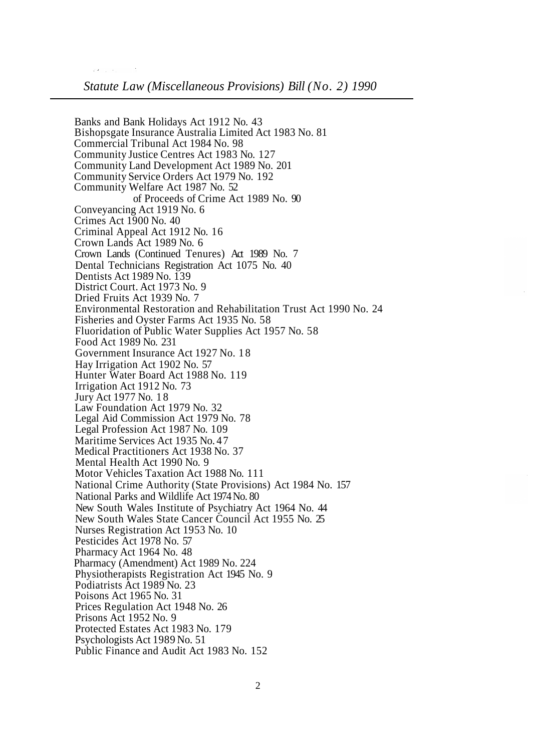Banks and Bank Holidays Act 1912 No. 43 Bishopsgate Insurance Australia Limited Act 1983 No. 81 Commercial Tribunal Act 1984 No. 98 Community Justice Centres Act 1983 No. 127 Community Land Development Act 1989 No. 201 Community Service Orders Act 1979 No. 192 Community Welfare Act 1987 No. 52 of Proceeds of Crime Act 1989 No. 90 Conveyancing Act 1919 No. 6 Crimes Act 1900 No. 40 Criminal Appeal Act 1912 No. 16 Crown Lands Act 1989 No. 6 Crown Lands (Continued Tenures) Act 1989 No. 7 Dental Technicians Registration Act 1075 No. 40 Dentists Act 1989 No. 139 District Court. Act 1973 No. 9 Dried Fruits Act 1939 No. 7 Environmental Restoration and Rehabilitation Trust Act 1990 No. 24 Fisheries and Oyster Farms Act 1935 No. 58 Fluoridation of Public Water Supplies Act 1957 No. 58 Food Act 1989 No. 231 Government Insurance Act 1927 No. 18 Hay Irrigation Act 1902 No. 57 Hunter Water Board Act 1988 No. 119 Irrigation Act 1912 No. 73 Jury Act 1977 No. 18 Law Foundation Act 1979 No. 32 Legal Aid Commission Act 1979 No. 78 Legal Profession Act 1987 No. 109 Maritime Services Act 1935 No. 47 Medical Practitioners Act 1938 No. 37 Mental Health Act 1990 No. 9 Motor Vehicles Taxation Act 1988 No. 111 National Crime Authority (State Provisions) Act 1984 No. 157 National Parks and Wildlife Act 1974 No. 80 New South Wales Institute of Psychiatry Act 1964 No. 44 New South Wales State Cancer Council Act 1955 No. 25 Nurses Registration Act 1953 No. 10 Pesticides Act 1978 No. 57 Pharmacy Act 1964 No. 48 Physiotherapists Registration Act 1945 No. 9 Podiatrists Act 1989 No. 23 Poisons Act 1965 No. 31 Prices Regulation Act 1948 No. 26 Prisons Act 1952 No. 9 Protected Estates Act 1983 No. 179 Psychologists Act 1989 No. 51 Public Finance and Audit Act 1983 No. 152 Pharmacy (Amendment) Act 1989 No. 224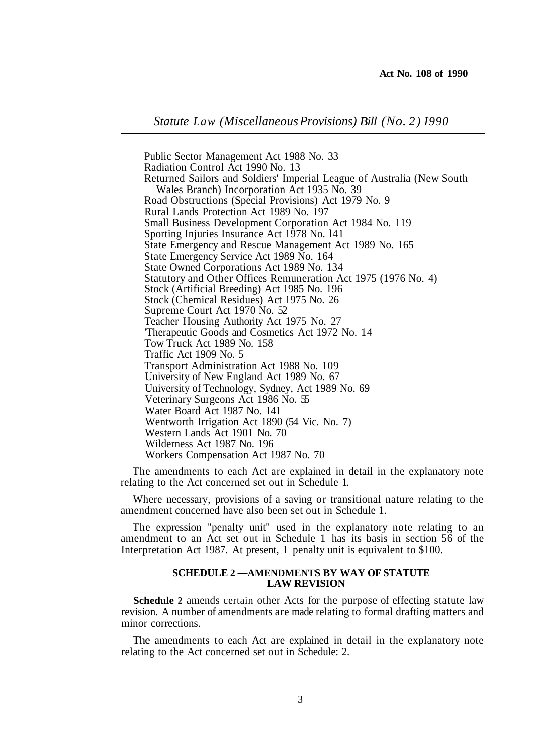*Statute Law (Miscellaneous Provisions) Bill (No. 2) I990* 

Public Sector Management Act 1988 No. 33 Radiation Control Act 1990 No. 13 Returned Sailors and Soldiers' Imperial League of Australia (New South Road Obstructions (Special Provisions) Act 1979 No. 9 Rural Lands Protection Act 1989 No. 197 Small Business Development Corporation Act 1984 No. 119 Sporting Injuries Insurance Act 1978 No. l41 State Emergency and Rescue Management Act 1989 No. 165 State Emergency Service Act 1989 No. 164 State Owned Corporations Act 1989 No. 134 Statutory and Other Offices Remuneration Act 1975 (1976 No. 4) Stock (Artificial Breeding) Act 1985 No. 196 Stock (Chemical Residues) Act 1975 No. 26 Supreme Court Act 1970 No. 52 Teacher Housing Authority Act 1975 No. 27 'Therapeutic Goods and Cosmetics Act 1972 No. 14 Tow Truck Act 1989 No. 158 Traffic Act 1909 No. 5 Transport Administration Act 1988 No. 109 University of New England Act 1989 No. 67 University of Technology, Sydney, Act 1989 No. 69 Veterinary Surgeons Act 1986 No. 55 Water Board Act 1987 No. 141 Wentworth Irrigation Act 1890 (54 Vic. No. 7) Western Lands Act 1901 No. 70 Wilderness Act 1987 No. 196 Workers Compensation Act 1987 No. 70 Wales Branch) Incorporation Act 1935 No. 39

relating to the Act concerned set out in Schedule 1. The amendments to each Act are explained in detail in the explanatory note

amendment concerned have also been set out in Schedule 1. Where necessary, provisions of a saving or transitional nature relating to the

The expression "penalty unit" used in the explanatory note relating to an amendment to an Act set out in Schedule 1 has its basis in section 56 of the Interpretation Act 1987. At present, 1 penalty unit is equivalent to \$100.

#### **SCHEDULE 2 —AMENDMENTS BY WAY OF STATUTE LAW REVISION**

**Schedule 2** amends certain other Acts for the purpose of effecting statute law revision. A number of amendments are made relating to formal drafting matters and minor corrections.

The amendments to each Act are explained in detail in the explanatory note relating to the Act concerned set out in Schedule: 2.